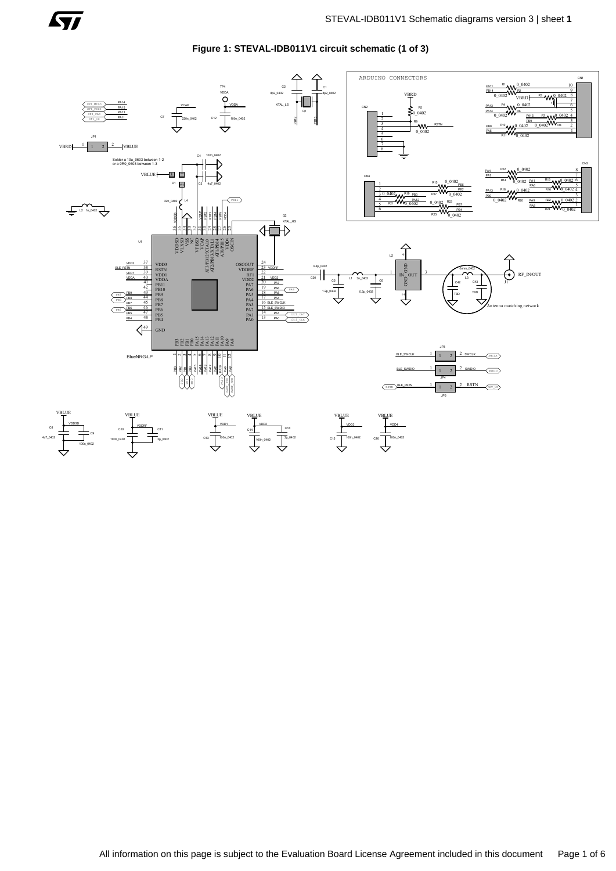

**Figure 1: STEVAL-IDB011V1 circuit schematic (1 of 3)**

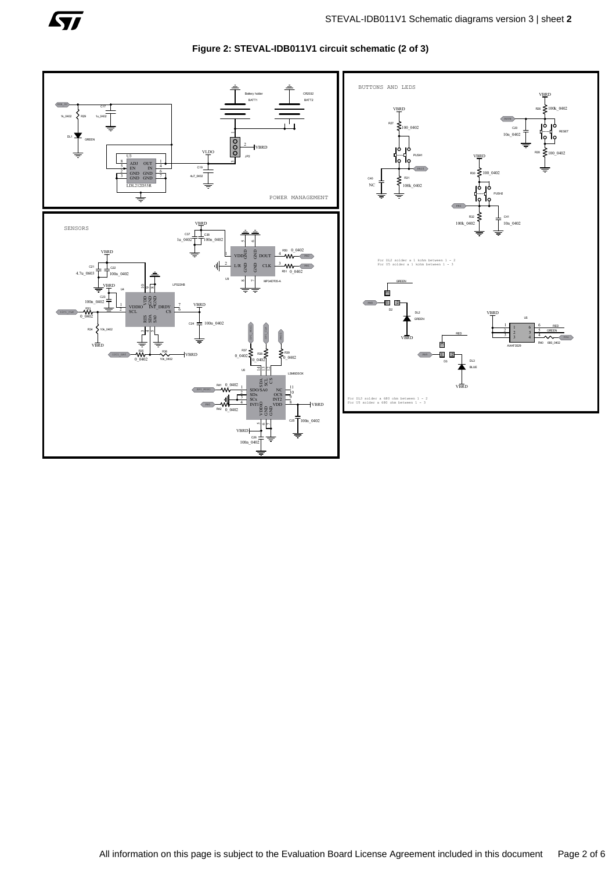

**Figure 2: STEVAL-IDB011V1 circuit schematic (2 of 3)**

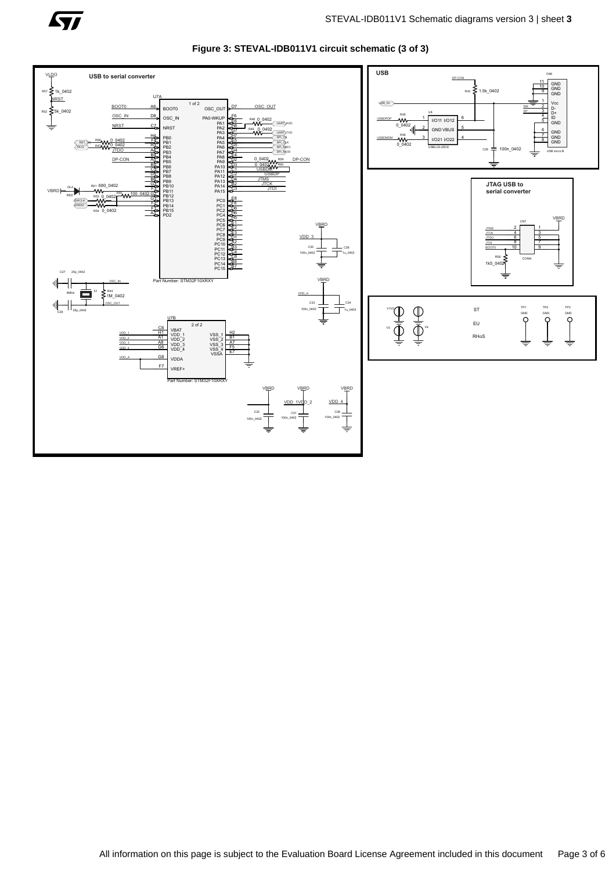

**Figure 3: STEVAL-IDB011V1 circuit schematic (3 of 3)**

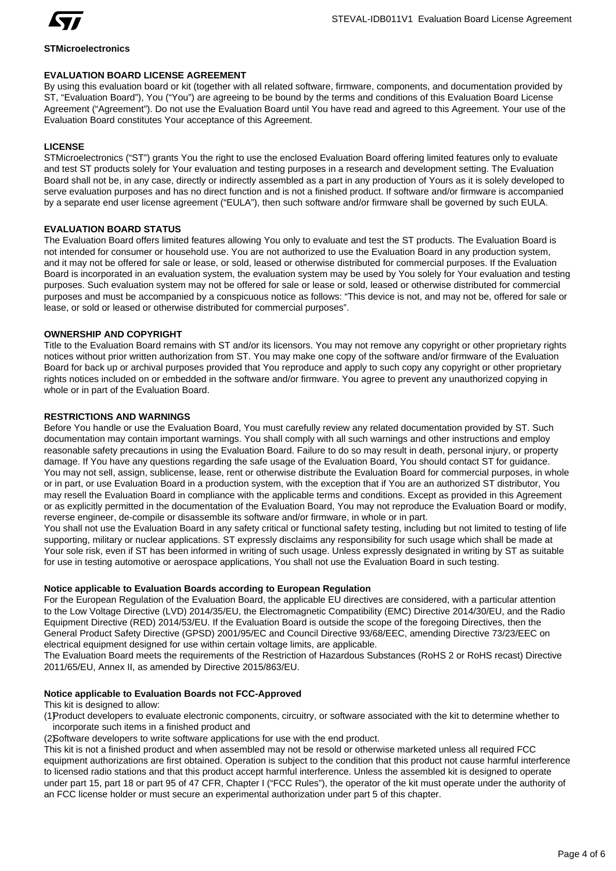

## **STMicroelectronics**

# **EVALUATION BOARD LICENSE AGREEMENT**

By using this evaluation board or kit (together with all related software, firmware, components, and documentation provided by ST, "Evaluation Board"), You ("You") are agreeing to be bound by the terms and conditions of this Evaluation Board License Agreement ("Agreement"). Do not use the Evaluation Board until You have read and agreed to this Agreement. Your use of the Evaluation Board constitutes Your acceptance of this Agreement.

# **LICENSE**

STMicroelectronics ("ST") grants You the right to use the enclosed Evaluation Board offering limited features only to evaluate and test ST products solely for Your evaluation and testing purposes in a research and development setting. The Evaluation Board shall not be, in any case, directly or indirectly assembled as a part in any production of Yours as it is solely developed to serve evaluation purposes and has no direct function and is not a finished product. If software and/or firmware is accompanied by a separate end user license agreement ("EULA"), then such software and/or firmware shall be governed by such EULA.

# **EVALUATION BOARD STATUS**

The Evaluation Board offers limited features allowing You only to evaluate and test the ST products. The Evaluation Board is not intended for consumer or household use. You are not authorized to use the Evaluation Board in any production system, and it may not be offered for sale or lease, or sold, leased or otherwise distributed for commercial purposes. If the Evaluation Board is incorporated in an evaluation system, the evaluation system may be used by You solely for Your evaluation and testing purposes. Such evaluation system may not be offered for sale or lease or sold, leased or otherwise distributed for commercial purposes and must be accompanied by a conspicuous notice as follows: "This device is not, and may not be, offered for sale or lease, or sold or leased or otherwise distributed for commercial purposes".

# **OWNERSHIP AND COPYRIGHT**

Title to the Evaluation Board remains with ST and/or its licensors. You may not remove any copyright or other proprietary rights notices without prior written authorization from ST. You may make one copy of the software and/or firmware of the Evaluation Board for back up or archival purposes provided that You reproduce and apply to such copy any copyright or other proprietary rights notices included on or embedded in the software and/or firmware. You agree to prevent any unauthorized copying in whole or in part of the Evaluation Board.

# **RESTRICTIONS AND WARNINGS**

Before You handle or use the Evaluation Board, You must carefully review any related documentation provided by ST. Such documentation may contain important warnings. You shall comply with all such warnings and other instructions and employ reasonable safety precautions in using the Evaluation Board. Failure to do so may result in death, personal injury, or property damage. If You have any questions regarding the safe usage of the Evaluation Board, You should contact ST for guidance. You may not sell, assign, sublicense, lease, rent or otherwise distribute the Evaluation Board for commercial purposes, in whole or in part, or use Evaluation Board in a production system, with the exception that if You are an authorized ST distributor, You may resell the Evaluation Board in compliance with the applicable terms and conditions. Except as provided in this Agreement or as explicitly permitted in the documentation of the Evaluation Board, You may not reproduce the Evaluation Board or modify, reverse engineer, de-compile or disassemble its software and/or firmware, in whole or in part.

You shall not use the Evaluation Board in any safety critical or functional safety testing, including but not limited to testing of life supporting, military or nuclear applications. ST expressly disclaims any responsibility for such usage which shall be made at Your sole risk, even if ST has been informed in writing of such usage. Unless expressly designated in writing by ST as suitable for use in testing automotive or aerospace applications, You shall not use the Evaluation Board in such testing.

# **Notice applicable to Evaluation Boards according to European Regulation**

For the European Regulation of the Evaluation Board, the applicable EU directives are considered, with a particular attention to the Low Voltage Directive (LVD) 2014/35/EU, the Electromagnetic Compatibility (EMC) Directive 2014/30/EU, and the Radio Equipment Directive (RED) 2014/53/EU. If the Evaluation Board is outside the scope of the foregoing Directives, then the General Product Safety Directive (GPSD) 2001/95/EC and Council Directive 93/68/EEC, amending Directive 73/23/EEC on electrical equipment designed for use within certain voltage limits, are applicable.

The Evaluation Board meets the requirements of the Restriction of Hazardous Substances (RoHS 2 or RoHS recast) Directive 2011/65/EU, Annex II, as amended by Directive 2015/863/EU.

# **Notice applicable to Evaluation Boards not FCC-Approved**

This kit is designed to allow:

(1)Product developers to evaluate electronic components, circuitry, or software associated with the kit to determine whether to incorporate such items in a finished product and

(2)Software developers to write software applications for use with the end product.

This kit is not a finished product and when assembled may not be resold or otherwise marketed unless all required FCC equipment authorizations are first obtained. Operation is subject to the condition that this product not cause harmful interference to licensed radio stations and that this product accept harmful interference. Unless the assembled kit is designed to operate under part 15, part 18 or part 95 of 47 CFR, Chapter I ("FCC Rules"), the operator of the kit must operate under the authority of an FCC license holder or must secure an experimental authorization under part 5 of this chapter.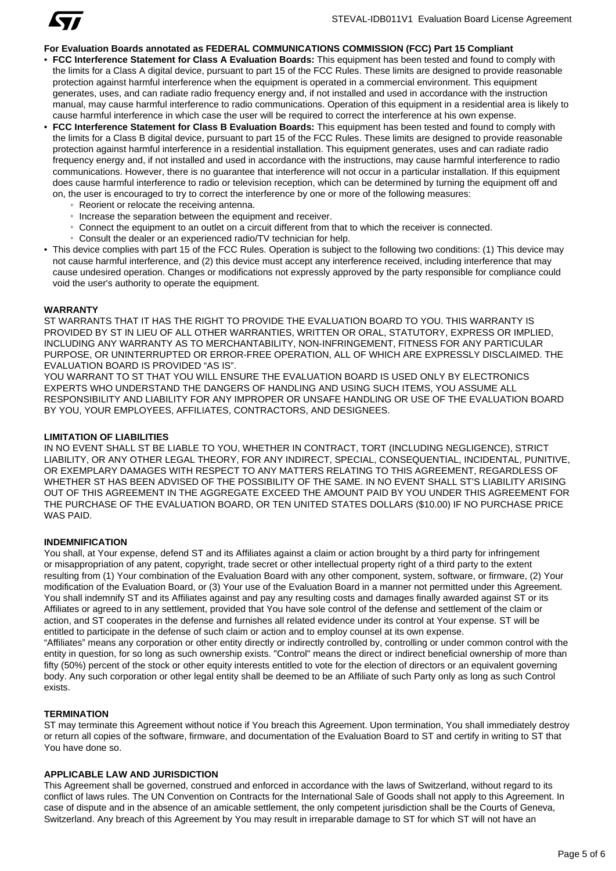

## **For Evaluation Boards annotated as FEDERAL COMMUNICATIONS COMMISSION (FCC) Part 15 Compliant**

- **FCC Interference Statement for Class A Evaluation Boards:** This equipment has been tested and found to comply with the limits for a Class A digital device, pursuant to part 15 of the FCC Rules. These limits are designed to provide reasonable protection against harmful interference when the equipment is operated in a commercial environment. This equipment generates, uses, and can radiate radio frequency energy and, if not installed and used in accordance with the instruction manual, may cause harmful interference to radio communications. Operation of this equipment in a residential area is likely to cause harmful interference in which case the user will be required to correct the interference at his own expense.
- **FCC Interference Statement for Class B Evaluation Boards:** This equipment has been tested and found to comply with the limits for a Class B digital device, pursuant to part 15 of the FCC Rules. These limits are designed to provide reasonable protection against harmful interference in a residential installation. This equipment generates, uses and can radiate radio frequency energy and, if not installed and used in accordance with the instructions, may cause harmful interference to radio communications. However, there is no guarantee that interference will not occur in a particular installation. If this equipment does cause harmful interference to radio or television reception, which can be determined by turning the equipment off and on, the user is encouraged to try to correct the interference by one or more of the following measures:
	- Reorient or relocate the receiving antenna.
	- Increase the separation between the equipment and receiver.
	- Connect the equipment to an outlet on a circuit different from that to which the receiver is connected.
	- Consult the dealer or an experienced radio/TV technician for help.
- This device complies with part 15 of the FCC Rules. Operation is subject to the following two conditions: (1) This device may not cause harmful interference, and (2) this device must accept any interference received, including interference that may cause undesired operation. Changes or modifications not expressly approved by the party responsible for compliance could void the user's authority to operate the equipment.

#### **WARRANTY**

ST WARRANTS THAT IT HAS THE RIGHT TO PROVIDE THE EVALUATION BOARD TO YOU. THIS WARRANTY IS PROVIDED BY ST IN LIEU OF ALL OTHER WARRANTIES, WRITTEN OR ORAL, STATUTORY, EXPRESS OR IMPLIED, INCLUDING ANY WARRANTY AS TO MERCHANTABILITY, NON-INFRINGEMENT, FITNESS FOR ANY PARTICULAR PURPOSE, OR UNINTERRUPTED OR ERROR-FREE OPERATION, ALL OF WHICH ARE EXPRESSLY DISCLAIMED. THE EVALUATION BOARD IS PROVIDED "AS IS".

YOU WARRANT TO ST THAT YOU WILL ENSURE THE EVALUATION BOARD IS USED ONLY BY ELECTRONICS EXPERTS WHO UNDERSTAND THE DANGERS OF HANDLING AND USING SUCH ITEMS, YOU ASSUME ALL RESPONSIBILITY AND LIABILITY FOR ANY IMPROPER OR UNSAFE HANDLING OR USE OF THE EVALUATION BOARD BY YOU, YOUR EMPLOYEES, AFFILIATES, CONTRACTORS, AND DESIGNEES.

#### **LIMITATION OF LIABILITIES**

IN NO EVENT SHALL ST BE LIABLE TO YOU, WHETHER IN CONTRACT, TORT (INCLUDING NEGLIGENCE), STRICT LIABILITY, OR ANY OTHER LEGAL THEORY, FOR ANY INDIRECT, SPECIAL, CONSEQUENTIAL, INCIDENTAL, PUNITIVE, OR EXEMPLARY DAMAGES WITH RESPECT TO ANY MATTERS RELATING TO THIS AGREEMENT, REGARDLESS OF WHETHER ST HAS BEEN ADVISED OF THE POSSIBILITY OF THE SAME. IN NO EVENT SHALL ST'S LIABILITY ARISING OUT OF THIS AGREEMENT IN THE AGGREGATE EXCEED THE AMOUNT PAID BY YOU UNDER THIS AGREEMENT FOR THE PURCHASE OF THE EVALUATION BOARD, OR TEN UNITED STATES DOLLARS (\$10.00) IF NO PURCHASE PRICE WAS PAID.

## **INDEMNIFICATION**

You shall, at Your expense, defend ST and its Affiliates against a claim or action brought by a third party for infringement or misappropriation of any patent, copyright, trade secret or other intellectual property right of a third party to the extent resulting from (1) Your combination of the Evaluation Board with any other component, system, software, or firmware, (2) Your modification of the Evaluation Board, or (3) Your use of the Evaluation Board in a manner not permitted under this Agreement. You shall indemnify ST and its Affiliates against and pay any resulting costs and damages finally awarded against ST or its Affiliates or agreed to in any settlement, provided that You have sole control of the defense and settlement of the claim or action, and ST cooperates in the defense and furnishes all related evidence under its control at Your expense. ST will be entitled to participate in the defense of such claim or action and to employ counsel at its own expense. "Affiliates" means any corporation or other entity directly or indirectly controlled by, controlling or under common control with the entity in question, for so long as such ownership exists. "Control" means the direct or indirect beneficial ownership of more than fifty (50%) percent of the stock or other equity interests entitled to vote for the election of directors or an equivalent governing body. Any such corporation or other legal entity shall be deemed to be an Affiliate of such Party only as long as such Control

## **TERMINATION**

exists.

ST may terminate this Agreement without notice if You breach this Agreement. Upon termination, You shall immediately destroy or return all copies of the software, firmware, and documentation of the Evaluation Board to ST and certify in writing to ST that You have done so.

## **APPLICABLE LAW AND JURISDICTION**

This Agreement shall be governed, construed and enforced in accordance with the laws of Switzerland, without regard to its conflict of laws rules. The UN Convention on Contracts for the International Sale of Goods shall not apply to this Agreement. In case of dispute and in the absence of an amicable settlement, the only competent jurisdiction shall be the Courts of Geneva, Switzerland. Any breach of this Agreement by You may result in irreparable damage to ST for which ST will not have an